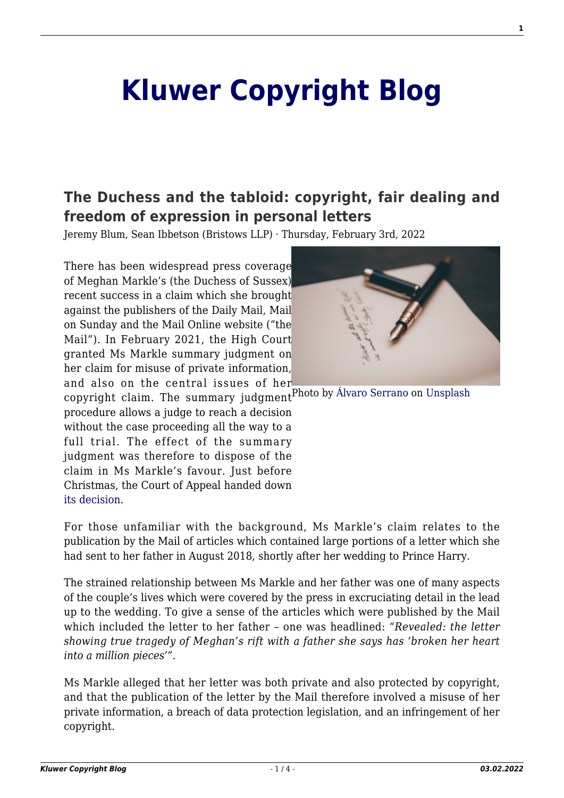# **[Kluwer Copyright Blog](http://copyrightblog.kluweriplaw.com/)**

# **[The Duchess and the tabloid: copyright, fair dealing and](http://copyrightblog.kluweriplaw.com/2022/02/03/the-duchess-and-the-tabloid-copyright-fair-dealing-and-freedom-of-expression-in-personal-letters/) [freedom of expression in personal letters](http://copyrightblog.kluweriplaw.com/2022/02/03/the-duchess-and-the-tabloid-copyright-fair-dealing-and-freedom-of-expression-in-personal-letters/)**

Jeremy Blum, Sean Ibbetson (Bristows LLP) · Thursday, February 3rd, 2022

There has been widespread press coverage of Meghan Markle's (the Duchess of Sussex) recent success in a claim which she brought against the publishers of the Daily Mail, Mail on Sunday and the Mail Online website ("the Mail"). In February 2021, the High Court granted Ms Markle summary judgment on her claim for misuse of private information, and also on the central issues of her



copyright claim. The summary judgment<sup>Photo</sup> by [Álvaro Serrano](https://unsplash.com/@alvaroserrano?utm_source=unsplash&utm_medium=referral&utm_content=creditCopyText) on [Unsplash](https://unsplash.com/s/photos/letter?utm_source=unsplash&utm_medium=referral&utm_content=creditCopyText)

procedure allows a judge to reach a decision without the case proceeding all the way to a full trial. The effect of the summary judgment was therefore to dispose of the claim in Ms Markle's favour. Just before Christmas, the Court of Appeal handed down [its decision](https://www.bailii.org/cgi-bin/format.cgi?doc=/ew/cases/EWCA/Civ/2021/1810.html&query=(markle)).

For those unfamiliar with the background, Ms Markle's claim relates to the publication by the Mail of articles which contained large portions of a letter which she had sent to her father in August 2018, shortly after her wedding to Prince Harry.

The strained relationship between Ms Markle and her father was one of many aspects of the couple's lives which were covered by the press in excruciating detail in the lead up to the wedding. To give a sense of the articles which were published by the Mail which included the letter to her father – one was headlined: "*Revealed: the letter showing true tragedy of Meghan's rift with a father she says has 'broken her heart into a million pieces'".*

Ms Markle alleged that her letter was both private and also protected by copyright, and that the publication of the letter by the Mail therefore involved a misuse of her private information, a breach of data protection legislation, and an infringement of her copyright.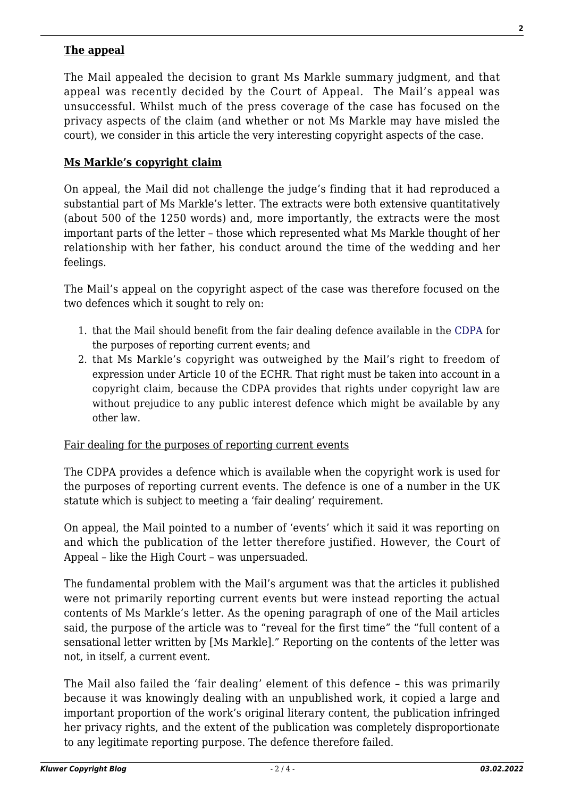#### **The appeal**

The Mail appealed the decision to grant Ms Markle summary judgment, and that appeal was recently decided by the Court of Appeal. The Mail's appeal was unsuccessful. Whilst much of the press coverage of the case has focused on the privacy aspects of the claim (and whether or not Ms Markle may have misled the court), we consider in this article the very interesting copyright aspects of the case.

#### **Ms Markle's copyright claim**

On appeal, the Mail did not challenge the judge's finding that it had reproduced a substantial part of Ms Markle's letter. The extracts were both extensive quantitatively (about 500 of the 1250 words) and, more importantly, the extracts were the most important parts of the letter – those which represented what Ms Markle thought of her relationship with her father, his conduct around the time of the wedding and her feelings.

The Mail's appeal on the copyright aspect of the case was therefore focused on the two defences which it sought to rely on:

- 1. that the Mail should benefit from the fair dealing defence available in the [CDPA](https://www.legislation.gov.uk/ukpga/1988/48/contents) for the purposes of reporting current events; and
- 2. that Ms Markle's copyright was outweighed by the Mail's right to freedom of expression under Article 10 of the ECHR. That right must be taken into account in a copyright claim, because the CDPA provides that rights under copyright law are without prejudice to any public interest defence which might be available by any other law.

#### Fair dealing for the purposes of reporting current events

The CDPA provides a defence which is available when the copyright work is used for the purposes of reporting current events. The defence is one of a number in the UK statute which is subject to meeting a 'fair dealing' requirement.

On appeal, the Mail pointed to a number of 'events' which it said it was reporting on and which the publication of the letter therefore justified. However, the Court of Appeal – like the High Court – was unpersuaded.

The fundamental problem with the Mail's argument was that the articles it published were not primarily reporting current events but were instead reporting the actual contents of Ms Markle's letter. As the opening paragraph of one of the Mail articles said, the purpose of the article was to "reveal for the first time" the "full content of a sensational letter written by [Ms Markle]." Reporting on the contents of the letter was not, in itself, a current event.

The Mail also failed the 'fair dealing' element of this defence – this was primarily because it was knowingly dealing with an unpublished work, it copied a large and important proportion of the work's original literary content, the publication infringed her privacy rights, and the extent of the publication was completely disproportionate to any legitimate reporting purpose. The defence therefore failed.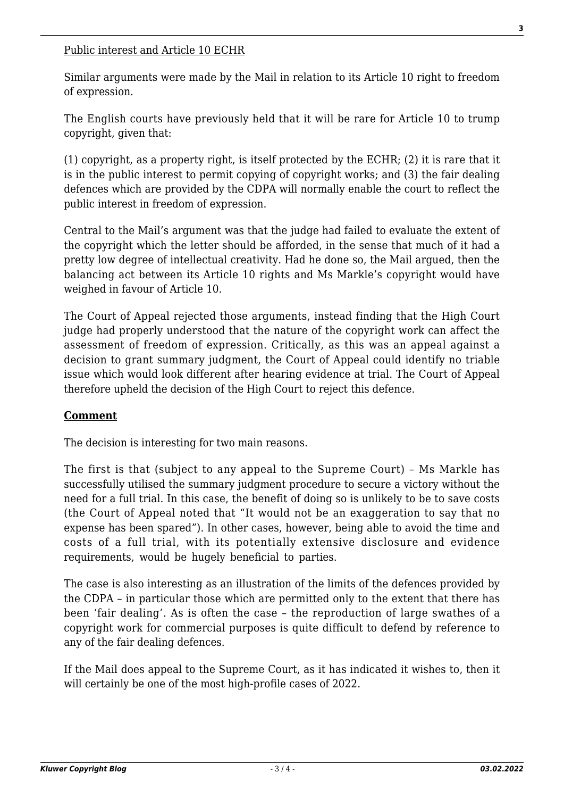#### Public interest and Article 10 ECHR

Similar arguments were made by the Mail in relation to its Article 10 right to freedom of expression.

The English courts have previously held that it will be rare for Article 10 to trump copyright, given that:

(1) copyright, as a property right, is itself protected by the ECHR; (2) it is rare that it is in the public interest to permit copying of copyright works; and (3) the fair dealing defences which are provided by the CDPA will normally enable the court to reflect the public interest in freedom of expression.

Central to the Mail's argument was that the judge had failed to evaluate the extent of the copyright which the letter should be afforded, in the sense that much of it had a pretty low degree of intellectual creativity. Had he done so, the Mail argued, then the balancing act between its Article 10 rights and Ms Markle's copyright would have weighed in favour of Article 10.

The Court of Appeal rejected those arguments, instead finding that the High Court judge had properly understood that the nature of the copyright work can affect the assessment of freedom of expression. Critically, as this was an appeal against a decision to grant summary judgment, the Court of Appeal could identify no triable issue which would look different after hearing evidence at trial. The Court of Appeal therefore upheld the decision of the High Court to reject this defence.

### **Comment**

The decision is interesting for two main reasons.

The first is that (subject to any appeal to the Supreme Court) – Ms Markle has successfully utilised the summary judgment procedure to secure a victory without the need for a full trial. In this case, the benefit of doing so is unlikely to be to save costs (the Court of Appeal noted that "It would not be an exaggeration to say that no expense has been spared"). In other cases, however, being able to avoid the time and costs of a full trial, with its potentially extensive disclosure and evidence requirements, would be hugely beneficial to parties.

The case is also interesting as an illustration of the limits of the defences provided by the CDPA – in particular those which are permitted only to the extent that there has been 'fair dealing'. As is often the case – the reproduction of large swathes of a copyright work for commercial purposes is quite difficult to defend by reference to any of the fair dealing defences.

If the Mail does appeal to the Supreme Court, as it has indicated it wishes to, then it will certainly be one of the most high-profile cases of 2022.